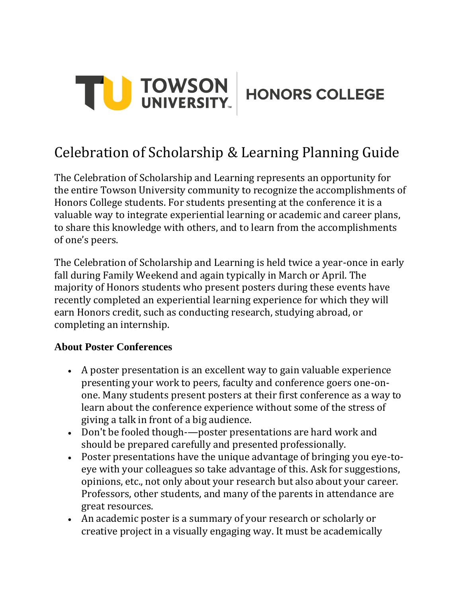

# Celebration of Scholarship & Learning Planning Guide

The Celebration of Scholarship and Learning represents an opportunity for the entire Towson University community to recognize the accomplishments of Honors College students. For students presenting at the conference it is a valuable way to integrate experiential learning or academic and career plans, to share this knowledge with others, and to learn from the accomplishments of one's peers.

The Celebration of Scholarship and Learning is held twice a year-once in early fall during Family Weekend and again typically in March or April. The majority of Honors students who present posters during these events have recently completed an experiential learning experience for which they will earn Honors credit, such as conducting research, studying abroad, or completing an internship.

#### **About Poster Conferences**

- A poster presentation is an excellent way to gain valuable experience presenting your work to peers, faculty and conference goers one-onone. Many students present posters at their first conference as a way to learn about the conference experience without some of the stress of giving a talk in front of a big audience.
- Don't be fooled though-—poster presentations are hard work and should be prepared carefully and presented professionally.
- Poster presentations have the unique advantage of bringing you eye-toeye with your colleagues so take advantage of this. Ask for suggestions, opinions, etc., not only about your research but also about your career. Professors, other students, and many of the parents in attendance are great resources.
- An academic poster is a summary of your research or scholarly or creative project in a visually engaging way. It must be academically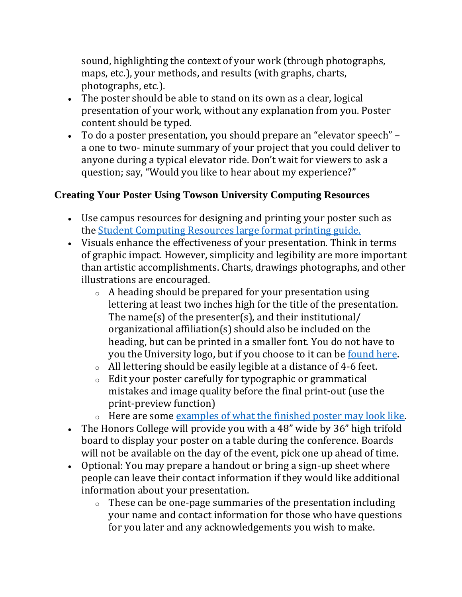sound, highlighting the context of your work (through photographs, maps, etc.), your methods, and results (with graphs, charts, photographs, etc.).

- The poster should be able to stand on its own as a clear, logical presentation of your work, without any explanation from you. Poster content should be typed.
- To do a poster presentation, you should prepare an "elevator speech" a one to two- minute summary of your project that you could deliver to anyone during a typical elevator ride. Don't wait for viewers to ask a question; say, "Would you like to hear about my experience?"

## **Creating Your Poster Using Towson University Computing Resources**

- Use campus resources for designing and printing your poster such as the [Student Computing Resources large format printing guide.](https://www.towson.edu/technology/studentservices/printing/templates.html)
- Visuals enhance the effectiveness of your presentation. Think in terms of graphic impact. However, simplicity and legibility are more important than artistic accomplishments. Charts, drawings photographs, and other illustrations are encouraged.
	- o A heading should be prepared for your presentation using lettering at least two inches high for the title of the presentation. The name(s) of the presenter(s), and their institutional/ organizational affiliation(s) should also be included on the heading, but can be printed in a smaller font. You do not have to you the University logo, but if you choose to it can be [found here.](https://brand.towson.edu/design-tools/)
	- o All lettering should be easily legible at a distance of 4-6 feet.
	- o Edit your poster carefully for typographic or grammatical mistakes and image quality before the final print-out (use the print-preview function)
	- o Here are some [examples of what the finished poster may look like.](https://www.facebook.com/TUHonorsCollege/photos/?tab=album&album_id=2390857767693768&ref=page_internal)
- The Honors College will provide you with a 48" wide by 36" high trifold board to display your poster on a table during the conference. Boards will not be available on the day of the event, pick one up ahead of time.
- Optional: You may prepare a handout or bring a sign-up sheet where people can leave their contact information if they would like additional information about your presentation.
	- $\circ$  These can be one-page summaries of the presentation including your name and contact information for those who have questions for you later and any acknowledgements you wish to make.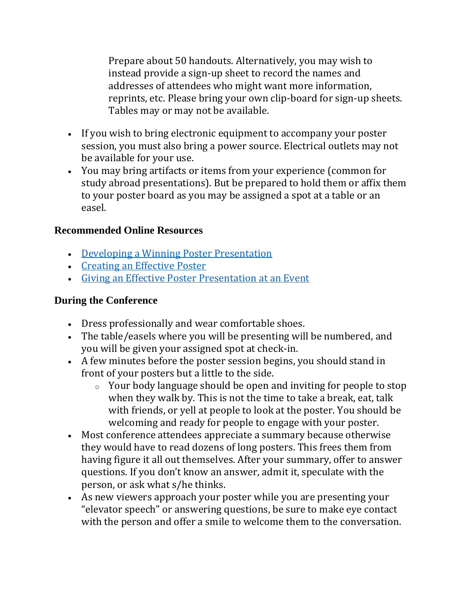Prepare about 50 handouts. Alternatively, you may wish to instead provide a sign-up sheet to record the names and addresses of attendees who might want more information, reprints, etc. Please bring your own clip-board for sign-up sheets. Tables may or may not be available.

- If you wish to bring electronic equipment to accompany your poster session, you must also bring a power source. Electrical outlets may not be available for your use.
- You may bring artifacts or items from your experience (common for study abroad presentations). But be prepared to hold them or affix them to your poster board as you may be assigned a spot at a table or an easel.

#### **Recommended Online Resources**

- [Developing a Winning Poster Presentation](https://www.towson.edu/honors/programs/documents/developing-a-winning-poster-presentation.pdf)
- [Creating an Effective Poster](https://projects.ncsu.edu/project/posters/)
- [Giving an Effective Poster Presentation at an Event](https://www.youtube.com/watch?v=vMSaFUrk-FA)

#### **During the Conference**

- Dress professionally and wear comfortable shoes.
- The table/easels where you will be presenting will be numbered, and you will be given your assigned spot at check-in.
- A few minutes before the poster session begins, you should stand in front of your posters but a little to the side.
	- o Your body language should be open and inviting for people to stop when they walk by. This is not the time to take a break, eat, talk with friends, or yell at people to look at the poster. You should be welcoming and ready for people to engage with your poster.
- Most conference attendees appreciate a summary because otherwise they would have to read dozens of long posters. This frees them from having figure it all out themselves. After your summary, offer to answer questions. If you don't know an answer, admit it, speculate with the person, or ask what s/he thinks.
- As new viewers approach your poster while you are presenting your "elevator speech" or answering questions, be sure to make eye contact with the person and offer a smile to welcome them to the conversation.